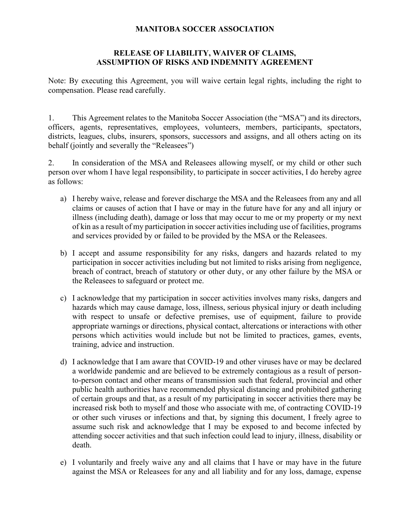## **MANITOBA SOCCER ASSOCIATION**

## **RELEASE OF LIABILITY, WAIVER OF CLAIMS, ASSUMPTION OF RISKS AND INDEMNITY AGREEMENT**

Note: By executing this Agreement, you will waive certain legal rights, including the right to compensation. Please read carefully.

1. This Agreement relates to the Manitoba Soccer Association (the "MSA") and its directors, officers, agents, representatives, employees, volunteers, members, participants, spectators, districts, leagues, clubs, insurers, sponsors, successors and assigns, and all others acting on its behalf (jointly and severally the "Releasees")

2. In consideration of the MSA and Releasees allowing myself, or my child or other such person over whom I have legal responsibility, to participate in soccer activities, I do hereby agree as follows:

- a) I hereby waive, release and forever discharge the MSA and the Releasees from any and all claims or causes of action that I have or may in the future have for any and all injury or illness (including death), damage or loss that may occur to me or my property or my next of kin as a result of my participation in soccer activities including use of facilities, programs and services provided by or failed to be provided by the MSA or the Releasees.
- b) I accept and assume responsibility for any risks, dangers and hazards related to my participation in soccer activities including but not limited to risks arising from negligence, breach of contract, breach of statutory or other duty, or any other failure by the MSA or the Releasees to safeguard or protect me.
- c) I acknowledge that my participation in soccer activities involves many risks, dangers and hazards which may cause damage, loss, illness, serious physical injury or death including with respect to unsafe or defective premises, use of equipment, failure to provide appropriate warnings or directions, physical contact, altercations or interactions with other persons which activities would include but not be limited to practices, games, events, training, advice and instruction.
- d) I acknowledge that I am aware that COVID-19 and other viruses have or may be declared a worldwide pandemic and are believed to be extremely contagious as a result of personto-person contact and other means of transmission such that federal, provincial and other public health authorities have recommended physical distancing and prohibited gathering of certain groups and that, as a result of my participating in soccer activities there may be increased risk both to myself and those who associate with me, of contracting COVID-19 or other such viruses or infections and that, by signing this document, I freely agree to assume such risk and acknowledge that I may be exposed to and become infected by attending soccer activities and that such infection could lead to injury, illness, disability or death.
- e) I voluntarily and freely waive any and all claims that I have or may have in the future against the MSA or Releasees for any and all liability and for any loss, damage, expense